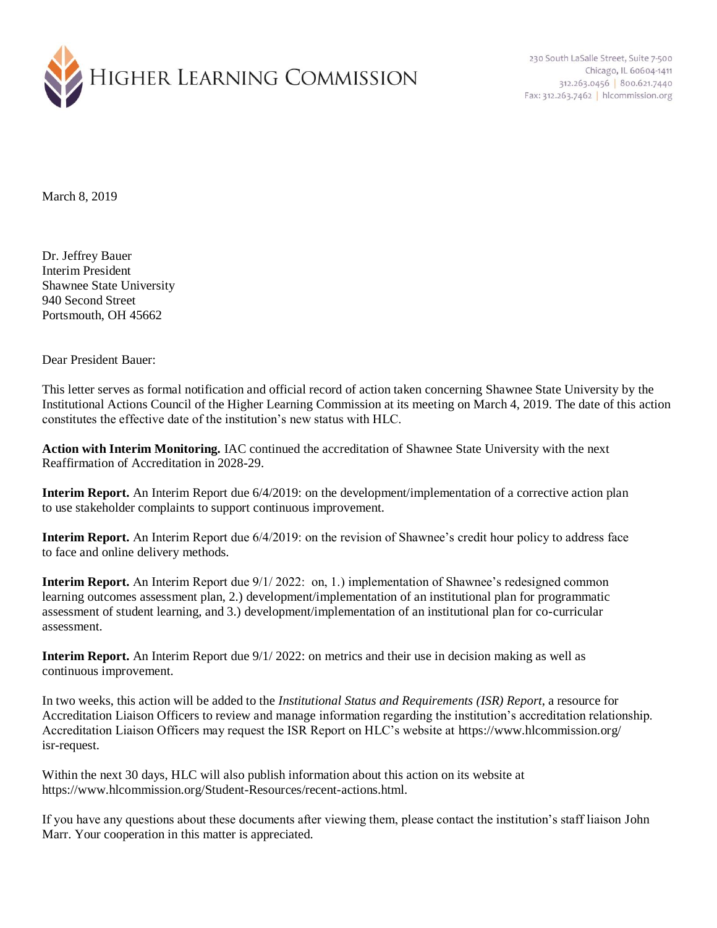

230 South LaSalle Street, Suite 7-500 Chicago, IL 60604-1411 312.263.0456 800.621.7440 Fax: 312.263.7462 | hlcommission.org

March 8, 2019

Dr. Jeffrey Bauer Interim President Shawnee State University 940 Second Street Portsmouth, OH 45662

Dear President Bauer:

This letter serves as formal notification and official record of action taken concerning Shawnee State University by the Institutional Actions Council of the Higher Learning Commission at its meeting on March 4, 2019. The date of this action constitutes the effective date of the institution's new status with HLC.

**Action with Interim Monitoring.** IAC continued the accreditation of Shawnee State University with the next Reaffirmation of Accreditation in 2028-29.

**Interim Report.** An Interim Report due 6/4/2019: on the development/implementation of a corrective action plan to use stakeholder complaints to support continuous improvement.

**Interim Report.** An Interim Report due 6/4/2019: on the revision of Shawnee's credit hour policy to address face to face and online delivery methods.

**Interim Report.** An Interim Report due  $9/1/2022$ : on, 1.) implementation of Shawnee's redesigned common learning outcomes assessment plan, 2.) development/implementation of an institutional plan for programmatic assessment of student learning, and 3.) development/implementation of an institutional plan for co-curricular assessment.

**Interim Report.** An Interim Report due 9/1/ 2022: on metrics and their use in decision making as well as continuous improvement.

In two weeks, this action will be added to the *Institutional Status and Requirements (ISR) Report*, a resource for Accreditation Liaison Officers to review and manage information regarding the institution's accreditation relationship. Accreditation Liaison Officers may request the ISR Report on HLC's website at https://www.hlcommission.org/ isr-request.

Within the next 30 days, HLC will also publish information about this action on its website at https://www.hlcommission.org/Student-Resources/recent-actions.html.

If you have any questions about these documents after viewing them, please contact the institution's staff liaison John Marr. Your cooperation in this matter is appreciated.